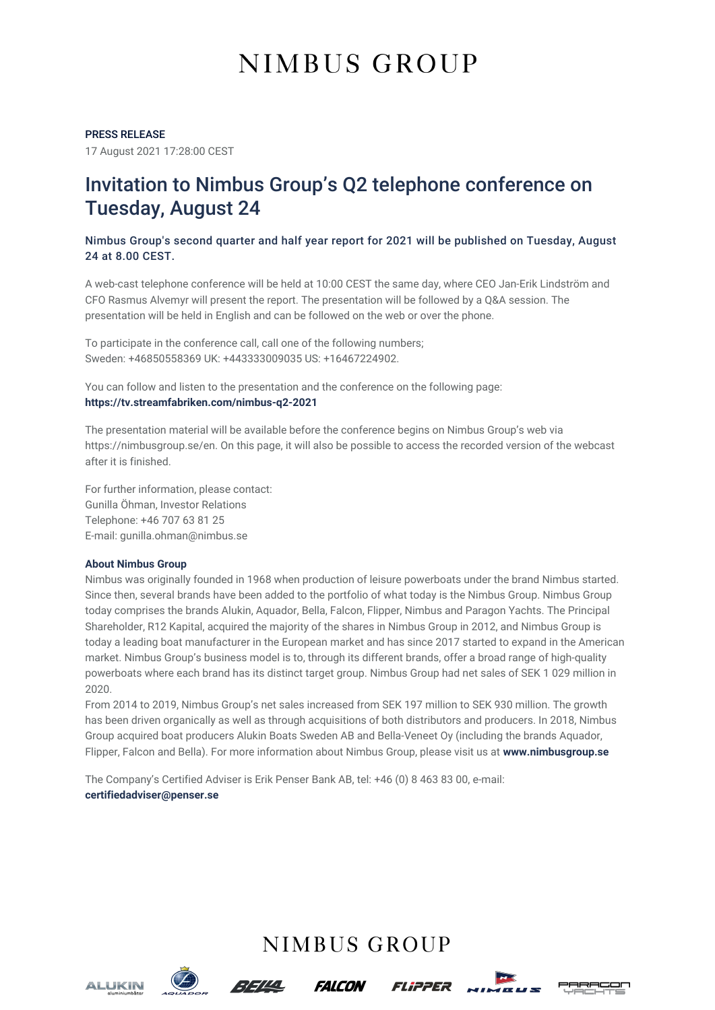# NIMBUS GROUP

#### PRESS RELEASE

17 August 2021 17:28:00 CEST

## Invitation to Nimbus Group's Q2 telephone conference on Tuesday, August 24

### Nimbus Group's second quarter and half year report for 2021 will be published on Tuesday, August 24 at 8.00 CEST.

A web-cast telephone conference will be held at 10:00 CEST the same day, where CEO Jan-Erik Lindström and CFO Rasmus Alvemyr will present the report. The presentation will be followed by a Q&A session. The presentation will be held in English and can be followed on the web or over the phone.

To participate in the conference call, call one of the following numbers; Sweden: +46850558369 UK: +443333009035 US: +16467224902.

You can follow and listen to the presentation and the conference on the following page: **<https://tv.streamfabriken.com/nimbus-q2-2021>**

The presentation material will be available before the conference begins on Nimbus Group's web via https://nimbusgroup.se/en. On this page, it will also be possible to access the recorded version of the webcast after it is finished.

For further information, please contact: Gunilla Öhman, Investor Relations Telephone: +46 707 63 81 25 E-mail: gunilla.ohman@nimbus.se

#### **About Nimbus Group**

Nimbus was originally founded in 1968 when production of leisure powerboats under the brand Nimbus started. Since then, several brands have been added to the portfolio of what today is the Nimbus Group. Nimbus Group today comprises the brands Alukin, Aquador, Bella, Falcon, Flipper, Nimbus and Paragon Yachts. The Principal Shareholder, R12 Kapital, acquired the majority of the shares in Nimbus Group in 2012, and Nimbus Group is today a leading boat manufacturer in the European market and has since 2017 started to expand in the American market. Nimbus Group's business model is to, through its different brands, offer a broad range of high-quality powerboats where each brand has its distinct target group. Nimbus Group had net sales of SEK 1 029 million in 2020.

From 2014 to 2019, Nimbus Group's net sales increased from SEK 197 million to SEK 930 million. The growth has been driven organically as well as through acquisitions of both distributors and producers. In 2018, Nimbus Group acquired boat producers Alukin Boats Sweden AB and Bella-Veneet Oy (including the brands Aquador, Flipper, Falcon and Bella). For more information about Nimbus Group, please visit us at **[www.nimbusgroup.se](http://www.nimbusgroup.se/)**

The Company's Certified Adviser is Erik Penser Bank AB, tel: +46 (0) 8 463 83 00, e-mail: **certifiedadviser@penser.se**

### NIMBUS GROUP







**FALCON** FLipper